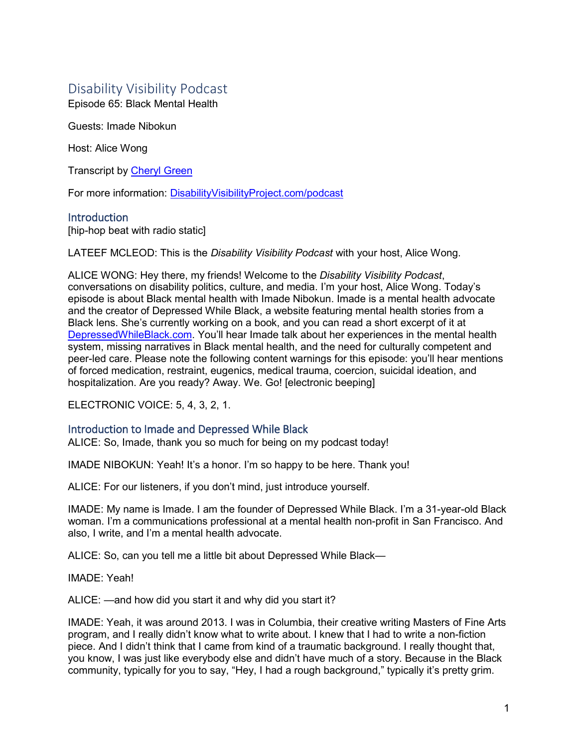# Disability Visibility Podcast

Episode 65: Black Mental Health

Guests: Imade Nibokun

Host: Alice Wong

Transcript by [Cheryl Green](http://whoamitostopit.com/)

For more information: [DisabilityVisibilityProject.com/podcast](https://disabilityvisibilityproject.com/podcast-2/)

# **Introduction**

[hip-hop beat with radio static]

LATEEF MCLEOD: This is the *Disability Visibility Podcast* with your host, Alice Wong.

ALICE WONG: Hey there, my friends! Welcome to the *Disability Visibility Podcast*, conversations on disability politics, culture, and media. I'm your host, Alice Wong. Today's episode is about Black mental health with Imade Nibokun. Imade is a mental health advocate and the creator of Depressed While Black, a website featuring mental health stories from a Black lens. She's currently working on a book, and you can read a short excerpt of it at [DepressedWhileBlack.com.](https://www.depressedwhileblack.com/) You'll hear Imade talk about her experiences in the mental health system, missing narratives in Black mental health, and the need for culturally competent and peer-led care. Please note the following content warnings for this episode: you'll hear mentions of forced medication, restraint, eugenics, medical trauma, coercion, suicidal ideation, and hospitalization. Are you ready? Away. We. Go! [electronic beeping]

ELECTRONIC VOICE: 5, 4, 3, 2, 1.

# Introduction to Imade and Depressed While Black

ALICE: So, Imade, thank you so much for being on my podcast today!

IMADE NIBOKUN: Yeah! It's a honor. I'm so happy to be here. Thank you!

ALICE: For our listeners, if you don't mind, just introduce yourself.

IMADE: My name is Imade. I am the founder of Depressed While Black. I'm a 31-year-old Black woman. I'm a communications professional at a mental health non-profit in San Francisco. And also, I write, and I'm a mental health advocate.

ALICE: So, can you tell me a little bit about Depressed While Black—

IMADE: Yeah!

ALICE: —and how did you start it and why did you start it?

IMADE: Yeah, it was around 2013. I was in Columbia, their creative writing Masters of Fine Arts program, and I really didn't know what to write about. I knew that I had to write a non-fiction piece. And I didn't think that I came from kind of a traumatic background. I really thought that, you know, I was just like everybody else and didn't have much of a story. Because in the Black community, typically for you to say, "Hey, I had a rough background," typically it's pretty grim.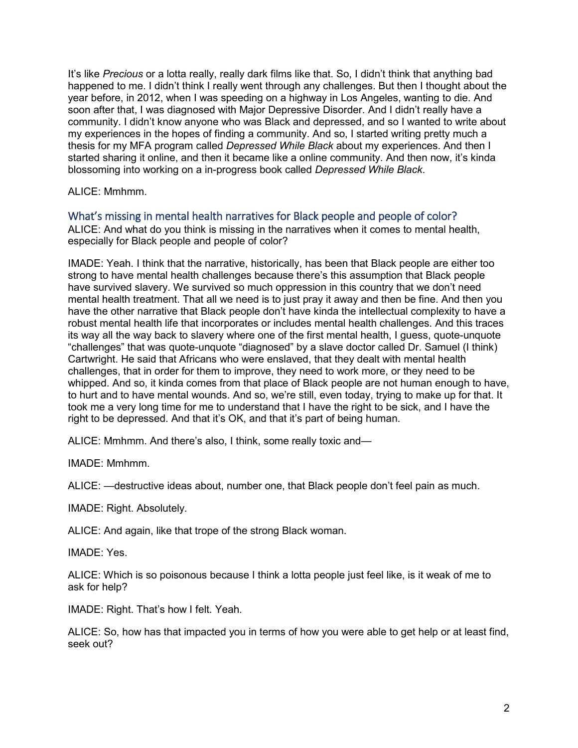It's like *Precious* or a lotta really, really dark films like that. So, I didn't think that anything bad happened to me. I didn't think I really went through any challenges. But then I thought about the year before, in 2012, when I was speeding on a highway in Los Angeles, wanting to die. And soon after that, I was diagnosed with Major Depressive Disorder. And I didn't really have a community. I didn't know anyone who was Black and depressed, and so I wanted to write about my experiences in the hopes of finding a community. And so, I started writing pretty much a thesis for my MFA program called *Depressed While Black* about my experiences. And then I started sharing it online, and then it became like a online community. And then now, it's kinda blossoming into working on a in-progress book called *Depressed While Black*.

ALICE: Mmhmm.

What's missing in mental health narratives for Black people and people of color? ALICE: And what do you think is missing in the narratives when it comes to mental health,

IMADE: Yeah. I think that the narrative, historically, has been that Black people are either too strong to have mental health challenges because there's this assumption that Black people have survived slavery. We survived so much oppression in this country that we don't need mental health treatment. That all we need is to just pray it away and then be fine. And then you have the other narrative that Black people don't have kinda the intellectual complexity to have a robust mental health life that incorporates or includes mental health challenges. And this traces its way all the way back to slavery where one of the first mental health, I guess, quote-unquote "challenges" that was quote-unquote "diagnosed" by a slave doctor called Dr. Samuel (I think) Cartwright. He said that Africans who were enslaved, that they dealt with mental health challenges, that in order for them to improve, they need to work more, or they need to be whipped. And so, it kinda comes from that place of Black people are not human enough to have, to hurt and to have mental wounds. And so, we're still, even today, trying to make up for that. It took me a very long time for me to understand that I have the right to be sick, and I have the right to be depressed. And that it's OK, and that it's part of being human.

ALICE: Mmhmm. And there's also, I think, some really toxic and—

especially for Black people and people of color?

IMADE: Mmhmm.

ALICE: —destructive ideas about, number one, that Black people don't feel pain as much.

IMADE: Right. Absolutely.

ALICE: And again, like that trope of the strong Black woman.

IMADE: Yes.

ALICE: Which is so poisonous because I think a lotta people just feel like, is it weak of me to ask for help?

IMADE: Right. That's how I felt. Yeah.

ALICE: So, how has that impacted you in terms of how you were able to get help or at least find, seek out?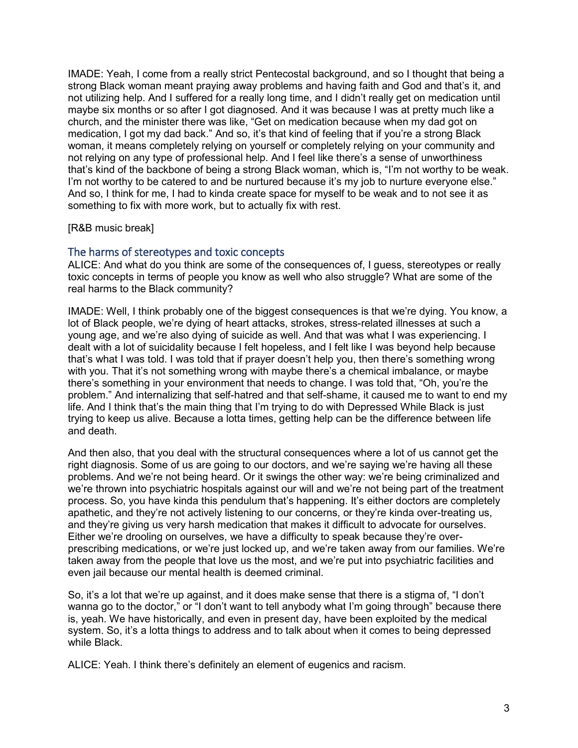IMADE: Yeah, I come from a really strict Pentecostal background, and so I thought that being a strong Black woman meant praying away problems and having faith and God and that's it, and not utilizing help. And I suffered for a really long time, and I didn't really get on medication until maybe six months or so after I got diagnosed. And it was because I was at pretty much like a church, and the minister there was like, "Get on medication because when my dad got on medication, I got my dad back." And so, it's that kind of feeling that if you're a strong Black woman, it means completely relying on yourself or completely relying on your community and not relying on any type of professional help. And I feel like there's a sense of unworthiness that's kind of the backbone of being a strong Black woman, which is, "I'm not worthy to be weak. I'm not worthy to be catered to and be nurtured because it's my job to nurture everyone else." And so, I think for me, I had to kinda create space for myself to be weak and to not see it as something to fix with more work, but to actually fix with rest.

## [R&B music break]

# The harms of stereotypes and toxic concepts

ALICE: And what do you think are some of the consequences of, I guess, stereotypes or really toxic concepts in terms of people you know as well who also struggle? What are some of the real harms to the Black community?

IMADE: Well, I think probably one of the biggest consequences is that we're dying. You know, a lot of Black people, we're dying of heart attacks, strokes, stress-related illnesses at such a young age, and we're also dying of suicide as well. And that was what I was experiencing. I dealt with a lot of suicidality because I felt hopeless, and I felt like I was beyond help because that's what I was told. I was told that if prayer doesn't help you, then there's something wrong with you. That it's not something wrong with maybe there's a chemical imbalance, or maybe there's something in your environment that needs to change. I was told that, "Oh, you're the problem." And internalizing that self-hatred and that self-shame, it caused me to want to end my life. And I think that's the main thing that I'm trying to do with Depressed While Black is just trying to keep us alive. Because a lotta times, getting help can be the difference between life and death.

And then also, that you deal with the structural consequences where a lot of us cannot get the right diagnosis. Some of us are going to our doctors, and we're saying we're having all these problems. And we're not being heard. Or it swings the other way: we're being criminalized and we're thrown into psychiatric hospitals against our will and we're not being part of the treatment process. So, you have kinda this pendulum that's happening. It's either doctors are completely apathetic, and they're not actively listening to our concerns, or they're kinda over-treating us, and they're giving us very harsh medication that makes it difficult to advocate for ourselves. Either we're drooling on ourselves, we have a difficulty to speak because they're overprescribing medications, or we're just locked up, and we're taken away from our families. We're taken away from the people that love us the most, and we're put into psychiatric facilities and even jail because our mental health is deemed criminal.

So, it's a lot that we're up against, and it does make sense that there is a stigma of, "I don't wanna go to the doctor," or "I don't want to tell anybody what I'm going through" because there is, yeah. We have historically, and even in present day, have been exploited by the medical system. So, it's a lotta things to address and to talk about when it comes to being depressed while Black.

ALICE: Yeah. I think there's definitely an element of eugenics and racism.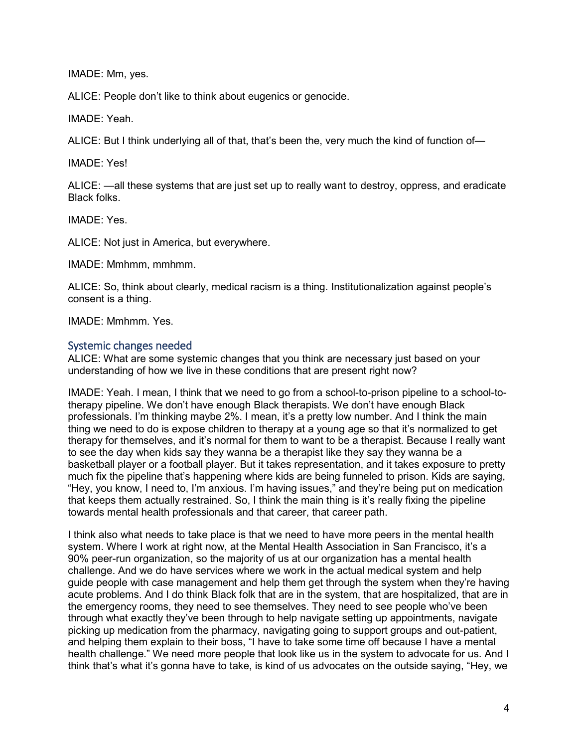IMADE: Mm, yes.

ALICE: People don't like to think about eugenics or genocide.

IMADE: Yeah.

ALICE: But I think underlying all of that, that's been the, very much the kind of function of—

IMADE: Yes!

ALICE: —all these systems that are just set up to really want to destroy, oppress, and eradicate Black folks.

IMADE: Yes.

ALICE: Not just in America, but everywhere.

IMADE: Mmhmm, mmhmm.

ALICE: So, think about clearly, medical racism is a thing. Institutionalization against people's consent is a thing.

IMADE: Mmhmm. Yes.

# Systemic changes needed

ALICE: What are some systemic changes that you think are necessary just based on your understanding of how we live in these conditions that are present right now?

IMADE: Yeah. I mean, I think that we need to go from a school-to-prison pipeline to a school-totherapy pipeline. We don't have enough Black therapists. We don't have enough Black professionals. I'm thinking maybe 2%. I mean, it's a pretty low number. And I think the main thing we need to do is expose children to therapy at a young age so that it's normalized to get therapy for themselves, and it's normal for them to want to be a therapist. Because I really want to see the day when kids say they wanna be a therapist like they say they wanna be a basketball player or a football player. But it takes representation, and it takes exposure to pretty much fix the pipeline that's happening where kids are being funneled to prison. Kids are saying, "Hey, you know, I need to, I'm anxious. I'm having issues," and they're being put on medication that keeps them actually restrained. So, I think the main thing is it's really fixing the pipeline towards mental health professionals and that career, that career path.

I think also what needs to take place is that we need to have more peers in the mental health system. Where I work at right now, at the Mental Health Association in San Francisco, it's a 90% peer-run organization, so the majority of us at our organization has a mental health challenge. And we do have services where we work in the actual medical system and help guide people with case management and help them get through the system when they're having acute problems. And I do think Black folk that are in the system, that are hospitalized, that are in the emergency rooms, they need to see themselves. They need to see people who've been through what exactly they've been through to help navigate setting up appointments, navigate picking up medication from the pharmacy, navigating going to support groups and out-patient, and helping them explain to their boss, "I have to take some time off because I have a mental health challenge." We need more people that look like us in the system to advocate for us. And I think that's what it's gonna have to take, is kind of us advocates on the outside saying, "Hey, we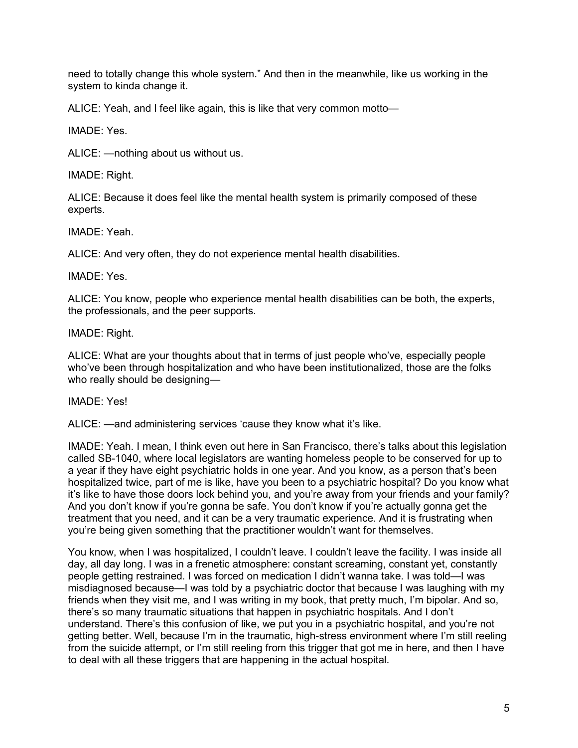need to totally change this whole system." And then in the meanwhile, like us working in the system to kinda change it.

ALICE: Yeah, and I feel like again, this is like that very common motto—

IMADE: Yes.

ALICE: —nothing about us without us.

IMADE: Right.

ALICE: Because it does feel like the mental health system is primarily composed of these experts.

IMADE: Yeah.

ALICE: And very often, they do not experience mental health disabilities.

IMADE: Yes.

ALICE: You know, people who experience mental health disabilities can be both, the experts, the professionals, and the peer supports.

IMADE: Right.

ALICE: What are your thoughts about that in terms of just people who've, especially people who've been through hospitalization and who have been institutionalized, those are the folks who really should be designing—

IMADE: Yes!

ALICE: —and administering services 'cause they know what it's like.

IMADE: Yeah. I mean, I think even out here in San Francisco, there's talks about this legislation called SB-1040, where local legislators are wanting homeless people to be conserved for up to a year if they have eight psychiatric holds in one year. And you know, as a person that's been hospitalized twice, part of me is like, have you been to a psychiatric hospital? Do you know what it's like to have those doors lock behind you, and you're away from your friends and your family? And you don't know if you're gonna be safe. You don't know if you're actually gonna get the treatment that you need, and it can be a very traumatic experience. And it is frustrating when you're being given something that the practitioner wouldn't want for themselves.

You know, when I was hospitalized, I couldn't leave. I couldn't leave the facility. I was inside all day, all day long. I was in a frenetic atmosphere: constant screaming, constant yet, constantly people getting restrained. I was forced on medication I didn't wanna take. I was told—I was misdiagnosed because—I was told by a psychiatric doctor that because I was laughing with my friends when they visit me, and I was writing in my book, that pretty much, I'm bipolar. And so, there's so many traumatic situations that happen in psychiatric hospitals. And I don't understand. There's this confusion of like, we put you in a psychiatric hospital, and you're not getting better. Well, because I'm in the traumatic, high-stress environment where I'm still reeling from the suicide attempt, or I'm still reeling from this trigger that got me in here, and then I have to deal with all these triggers that are happening in the actual hospital.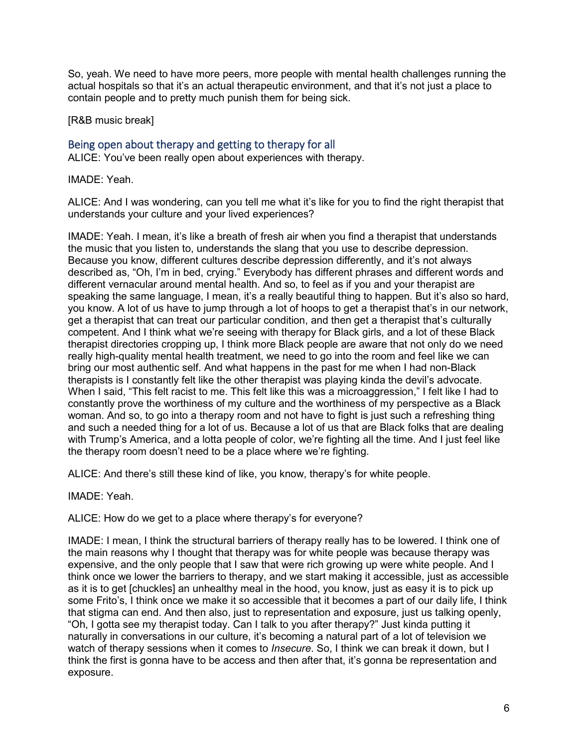So, yeah. We need to have more peers, more people with mental health challenges running the actual hospitals so that it's an actual therapeutic environment, and that it's not just a place to contain people and to pretty much punish them for being sick.

[R&B music break]

# Being open about therapy and getting to therapy for all

ALICE: You've been really open about experiences with therapy.

IMADE: Yeah.

ALICE: And I was wondering, can you tell me what it's like for you to find the right therapist that understands your culture and your lived experiences?

IMADE: Yeah. I mean, it's like a breath of fresh air when you find a therapist that understands the music that you listen to, understands the slang that you use to describe depression. Because you know, different cultures describe depression differently, and it's not always described as, "Oh, I'm in bed, crying." Everybody has different phrases and different words and different vernacular around mental health. And so, to feel as if you and your therapist are speaking the same language, I mean, it's a really beautiful thing to happen. But it's also so hard, you know. A lot of us have to jump through a lot of hoops to get a therapist that's in our network, get a therapist that can treat our particular condition, and then get a therapist that's culturally competent. And I think what we're seeing with therapy for Black girls, and a lot of these Black therapist directories cropping up, I think more Black people are aware that not only do we need really high-quality mental health treatment, we need to go into the room and feel like we can bring our most authentic self. And what happens in the past for me when I had non-Black therapists is I constantly felt like the other therapist was playing kinda the devil's advocate. When I said, "This felt racist to me. This felt like this was a microaggression," I felt like I had to constantly prove the worthiness of my culture and the worthiness of my perspective as a Black woman. And so, to go into a therapy room and not have to fight is just such a refreshing thing and such a needed thing for a lot of us. Because a lot of us that are Black folks that are dealing with Trump's America, and a lotta people of color, we're fighting all the time. And I just feel like the therapy room doesn't need to be a place where we're fighting.

ALICE: And there's still these kind of like, you know, therapy's for white people.

IMADE: Yeah.

ALICE: How do we get to a place where therapy's for everyone?

IMADE: I mean, I think the structural barriers of therapy really has to be lowered. I think one of the main reasons why I thought that therapy was for white people was because therapy was expensive, and the only people that I saw that were rich growing up were white people. And I think once we lower the barriers to therapy, and we start making it accessible, just as accessible as it is to get [chuckles] an unhealthy meal in the hood, you know, just as easy it is to pick up some Frito's, I think once we make it so accessible that it becomes a part of our daily life, I think that stigma can end. And then also, just to representation and exposure, just us talking openly, "Oh, I gotta see my therapist today. Can I talk to you after therapy?" Just kinda putting it naturally in conversations in our culture, it's becoming a natural part of a lot of television we watch of therapy sessions when it comes to *Insecure*. So, I think we can break it down, but I think the first is gonna have to be access and then after that, it's gonna be representation and exposure.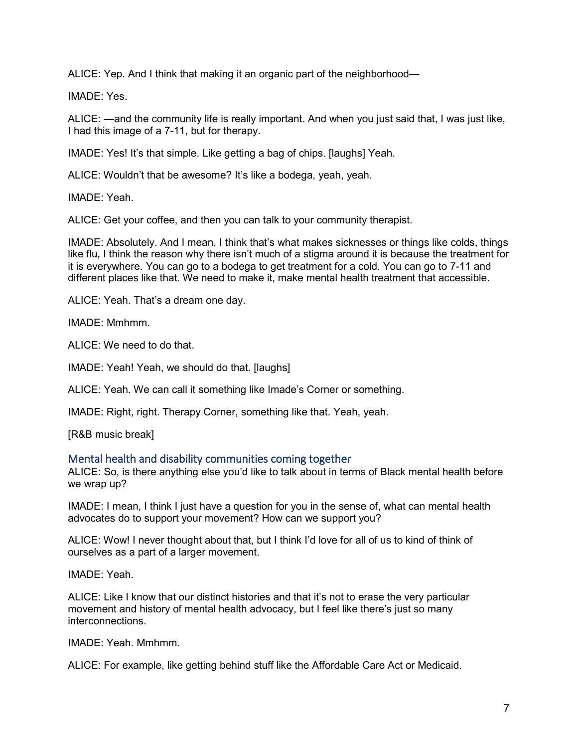ALICE: Yep. And I think that making it an organic part of the neighborhood—

IMADE: Yes.

ALICE: —and the community life is really important. And when you just said that, I was just like, I had this image of a 7-11, but for therapy.

IMADE: Yes! It's that simple. Like getting a bag of chips. [laughs] Yeah.

ALICE: Wouldn't that be awesome? It's like a bodega, yeah, yeah.

IMADE: Yeah.

ALICE: Get your coffee, and then you can talk to your community therapist.

IMADE: Absolutely. And I mean, I think that's what makes sicknesses or things like colds, things like flu, I think the reason why there isn't much of a stigma around it is because the treatment for it is everywhere. You can go to a bodega to get treatment for a cold. You can go to 7-11 and different places like that. We need to make it, make mental health treatment that accessible.

ALICE: Yeah. That's a dream one day.

IMADE: Mmhmm.

ALICE: We need to do that.

IMADE: Yeah! Yeah, we should do that. [laughs]

ALICE: Yeah. We can call it something like Imade's Corner or something.

IMADE: Right, right. Therapy Corner, something like that. Yeah, yeah.

[R&B music break]

# Mental health and disability communities coming together

ALICE: So, is there anything else you'd like to talk about in terms of Black mental health before we wrap up?

IMADE: I mean, I think I just have a question for you in the sense of, what can mental health advocates do to support your movement? How can we support you?

ALICE: Wow! I never thought about that, but I think I'd love for all of us to kind of think of ourselves as a part of a larger movement.

IMADE: Yeah.

ALICE: Like I know that our distinct histories and that it's not to erase the very particular movement and history of mental health advocacy, but I feel like there's just so many interconnections.

IMADE: Yeah. Mmhmm.

ALICE: For example, like getting behind stuff like the Affordable Care Act or Medicaid.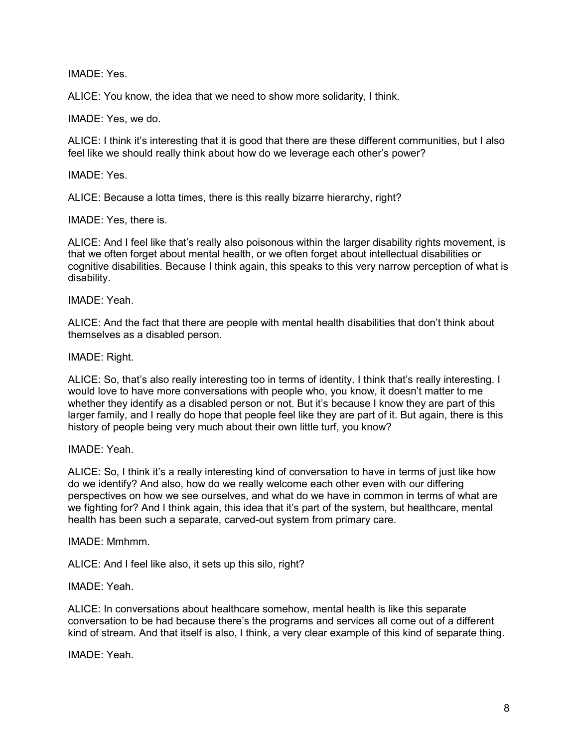IMADE: Yes.

ALICE: You know, the idea that we need to show more solidarity, I think.

IMADE: Yes, we do.

ALICE: I think it's interesting that it is good that there are these different communities, but I also feel like we should really think about how do we leverage each other's power?

IMADE: Yes.

ALICE: Because a lotta times, there is this really bizarre hierarchy, right?

IMADE: Yes, there is.

ALICE: And I feel like that's really also poisonous within the larger disability rights movement, is that we often forget about mental health, or we often forget about intellectual disabilities or cognitive disabilities. Because I think again, this speaks to this very narrow perception of what is disability.

IMADE: Yeah.

ALICE: And the fact that there are people with mental health disabilities that don't think about themselves as a disabled person.

#### IMADE: Right.

ALICE: So, that's also really interesting too in terms of identity. I think that's really interesting. I would love to have more conversations with people who, you know, it doesn't matter to me whether they identify as a disabled person or not. But it's because I know they are part of this larger family, and I really do hope that people feel like they are part of it. But again, there is this history of people being very much about their own little turf, you know?

IMADE: Yeah.

ALICE: So, I think it's a really interesting kind of conversation to have in terms of just like how do we identify? And also, how do we really welcome each other even with our differing perspectives on how we see ourselves, and what do we have in common in terms of what are we fighting for? And I think again, this idea that it's part of the system, but healthcare, mental health has been such a separate, carved-out system from primary care.

#### IMADE: Mmhmm.

ALICE: And I feel like also, it sets up this silo, right?

IMADE: Yeah.

ALICE: In conversations about healthcare somehow, mental health is like this separate conversation to be had because there's the programs and services all come out of a different kind of stream. And that itself is also, I think, a very clear example of this kind of separate thing.

IMADE: Yeah.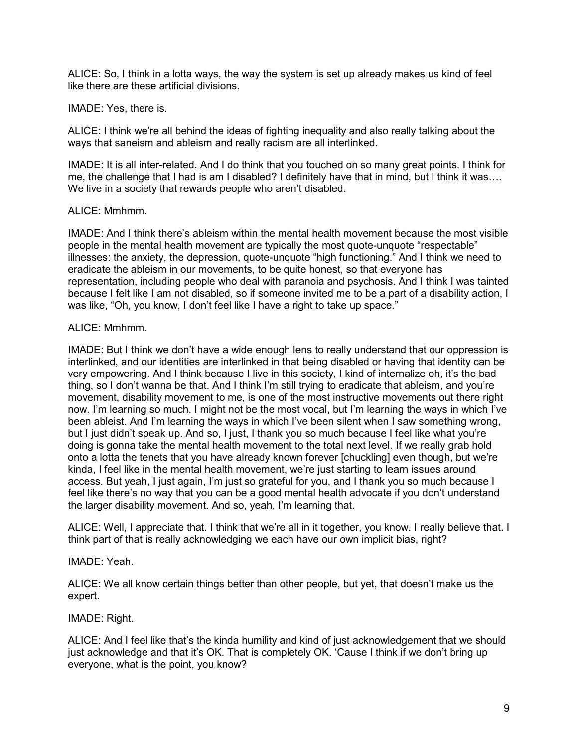ALICE: So, I think in a lotta ways, the way the system is set up already makes us kind of feel like there are these artificial divisions.

## IMADE: Yes, there is.

ALICE: I think we're all behind the ideas of fighting inequality and also really talking about the ways that saneism and ableism and really racism are all interlinked.

IMADE: It is all inter-related. And I do think that you touched on so many great points. I think for me, the challenge that I had is am I disabled? I definitely have that in mind, but I think it was…. We live in a society that rewards people who aren't disabled.

## ALICE: Mmhmm.

IMADE: And I think there's ableism within the mental health movement because the most visible people in the mental health movement are typically the most quote-unquote "respectable" illnesses: the anxiety, the depression, quote-unquote "high functioning." And I think we need to eradicate the ableism in our movements, to be quite honest, so that everyone has representation, including people who deal with paranoia and psychosis. And I think I was tainted because I felt like I am not disabled, so if someone invited me to be a part of a disability action, I was like, "Oh, you know, I don't feel like I have a right to take up space."

# ALICE: Mmhmm.

IMADE: But I think we don't have a wide enough lens to really understand that our oppression is interlinked, and our identities are interlinked in that being disabled or having that identity can be very empowering. And I think because I live in this society, I kind of internalize oh, it's the bad thing, so I don't wanna be that. And I think I'm still trying to eradicate that ableism, and you're movement, disability movement to me, is one of the most instructive movements out there right now. I'm learning so much. I might not be the most vocal, but I'm learning the ways in which I've been ableist. And I'm learning the ways in which I've been silent when I saw something wrong, but I just didn't speak up. And so, I just, I thank you so much because I feel like what you're doing is gonna take the mental health movement to the total next level. If we really grab hold onto a lotta the tenets that you have already known forever [chuckling] even though, but we're kinda, I feel like in the mental health movement, we're just starting to learn issues around access. But yeah, I just again, I'm just so grateful for you, and I thank you so much because I feel like there's no way that you can be a good mental health advocate if you don't understand the larger disability movement. And so, yeah, I'm learning that.

ALICE: Well, I appreciate that. I think that we're all in it together, you know. I really believe that. I think part of that is really acknowledging we each have our own implicit bias, right?

#### IMADE: Yeah.

ALICE: We all know certain things better than other people, but yet, that doesn't make us the expert.

#### IMADE: Right.

ALICE: And I feel like that's the kinda humility and kind of just acknowledgement that we should just acknowledge and that it's OK. That is completely OK. 'Cause I think if we don't bring up everyone, what is the point, you know?